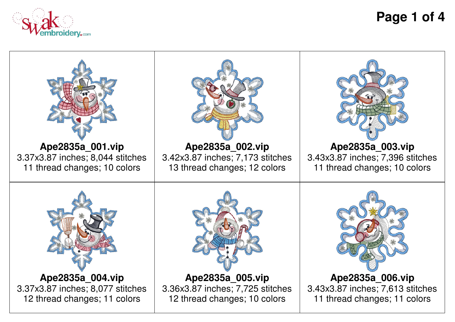

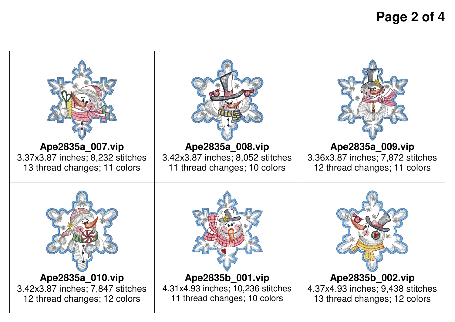**Page 2 of 4**

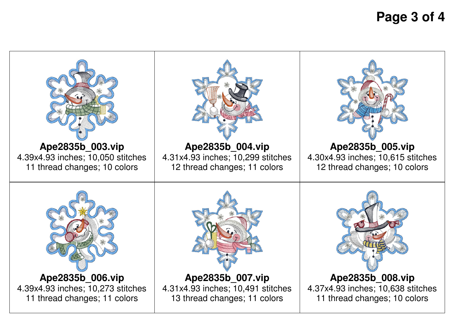**Page 3 of 4**